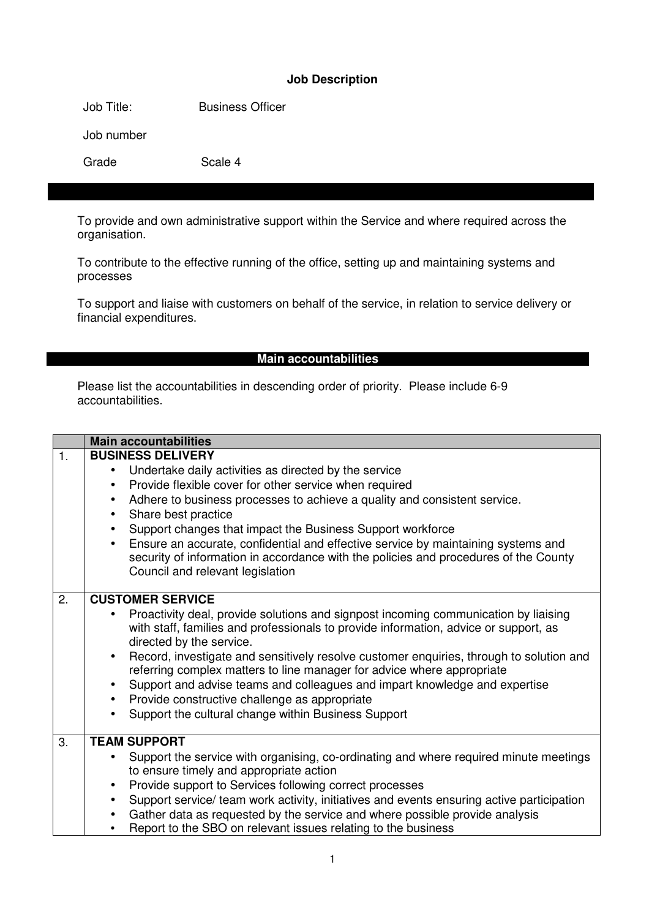#### **Job Description**

Job Title: Business Officer

Job number

Grade Scale 4

To provide and own administrative support within the Service and where required across the organisation.

To contribute to the effective running of the office, setting up and maintaining systems and processes

To support and liaise with customers on behalf of the service, in relation to service delivery or financial expenditures.

#### **Main accountabilities**

Please list the accountabilities in descending order of priority. Please include 6-9 accountabilities.

|    | <b>Main accountabilities</b>                                                                                                                                                                                                                                                                                                                                                                                                                                                                                                                                                                                                        |  |  |  |
|----|-------------------------------------------------------------------------------------------------------------------------------------------------------------------------------------------------------------------------------------------------------------------------------------------------------------------------------------------------------------------------------------------------------------------------------------------------------------------------------------------------------------------------------------------------------------------------------------------------------------------------------------|--|--|--|
| 1. | <b>BUSINESS DELIVERY</b>                                                                                                                                                                                                                                                                                                                                                                                                                                                                                                                                                                                                            |  |  |  |
|    | Undertake daily activities as directed by the service<br>$\bullet$                                                                                                                                                                                                                                                                                                                                                                                                                                                                                                                                                                  |  |  |  |
|    | Provide flexible cover for other service when required<br>$\bullet$                                                                                                                                                                                                                                                                                                                                                                                                                                                                                                                                                                 |  |  |  |
|    | Adhere to business processes to achieve a quality and consistent service.<br>$\bullet$                                                                                                                                                                                                                                                                                                                                                                                                                                                                                                                                              |  |  |  |
|    | Share best practice<br>$\bullet$                                                                                                                                                                                                                                                                                                                                                                                                                                                                                                                                                                                                    |  |  |  |
|    | Support changes that impact the Business Support workforce<br>$\bullet$                                                                                                                                                                                                                                                                                                                                                                                                                                                                                                                                                             |  |  |  |
|    | Ensure an accurate, confidential and effective service by maintaining systems and<br>$\bullet$<br>security of information in accordance with the policies and procedures of the County<br>Council and relevant legislation                                                                                                                                                                                                                                                                                                                                                                                                          |  |  |  |
| 2. | <b>CUSTOMER SERVICE</b>                                                                                                                                                                                                                                                                                                                                                                                                                                                                                                                                                                                                             |  |  |  |
|    | Proactivity deal, provide solutions and signpost incoming communication by liaising<br>$\bullet$<br>with staff, families and professionals to provide information, advice or support, as<br>directed by the service.<br>Record, investigate and sensitively resolve customer enquiries, through to solution and<br>$\bullet$<br>referring complex matters to line manager for advice where appropriate<br>Support and advise teams and colleagues and impart knowledge and expertise<br>$\bullet$<br>Provide constructive challenge as appropriate<br>$\bullet$<br>Support the cultural change within Business Support<br>$\bullet$ |  |  |  |
| 3. | <b>TEAM SUPPORT</b>                                                                                                                                                                                                                                                                                                                                                                                                                                                                                                                                                                                                                 |  |  |  |
|    | Support the service with organising, co-ordinating and where required minute meetings<br>$\bullet$                                                                                                                                                                                                                                                                                                                                                                                                                                                                                                                                  |  |  |  |
|    | to ensure timely and appropriate action                                                                                                                                                                                                                                                                                                                                                                                                                                                                                                                                                                                             |  |  |  |
|    | Provide support to Services following correct processes<br>$\bullet$                                                                                                                                                                                                                                                                                                                                                                                                                                                                                                                                                                |  |  |  |
|    | Support service/ team work activity, initiatives and events ensuring active participation<br>$\bullet$                                                                                                                                                                                                                                                                                                                                                                                                                                                                                                                              |  |  |  |
|    | Gather data as requested by the service and where possible provide analysis<br>$\bullet$                                                                                                                                                                                                                                                                                                                                                                                                                                                                                                                                            |  |  |  |
|    | Report to the SBO on relevant issues relating to the business                                                                                                                                                                                                                                                                                                                                                                                                                                                                                                                                                                       |  |  |  |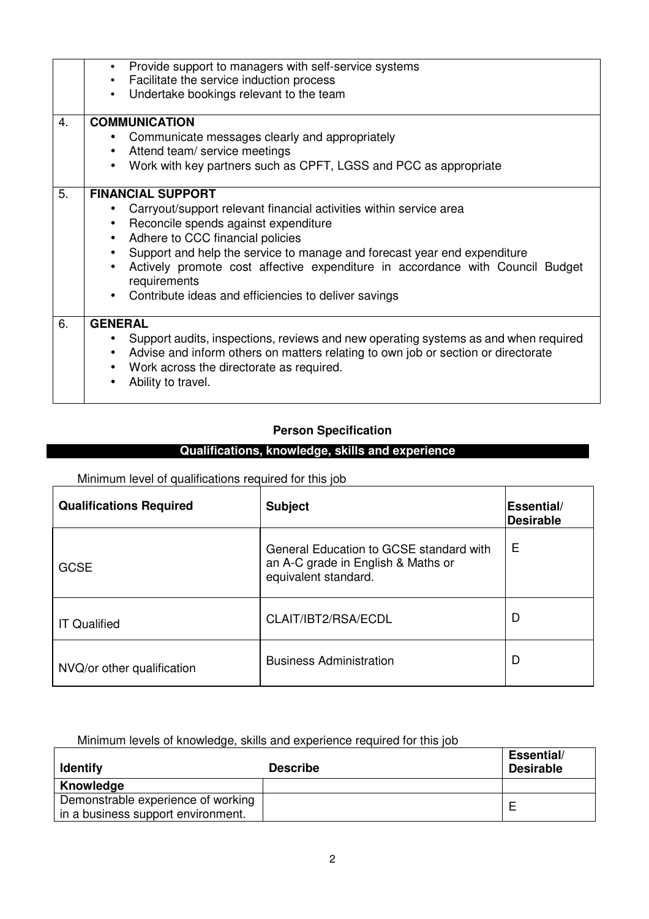| 4. | Provide support to managers with self-service systems<br>$\bullet$<br>Facilitate the service induction process<br>$\bullet$<br>Undertake bookings relevant to the team<br>$\bullet$<br><b>COMMUNICATION</b><br>Communicate messages clearly and appropriately<br>$\bullet$                                                                                                                                                                                          |
|----|---------------------------------------------------------------------------------------------------------------------------------------------------------------------------------------------------------------------------------------------------------------------------------------------------------------------------------------------------------------------------------------------------------------------------------------------------------------------|
|    | Attend team/ service meetings<br>$\bullet$                                                                                                                                                                                                                                                                                                                                                                                                                          |
|    | Work with key partners such as CPFT, LGSS and PCC as appropriate<br>$\bullet$                                                                                                                                                                                                                                                                                                                                                                                       |
| 5. | <b>FINANCIAL SUPPORT</b><br>Carryout/support relevant financial activities within service area<br>Reconcile spends against expenditure<br>$\bullet$<br>Adhere to CCC financial policies<br>$\bullet$<br>Support and help the service to manage and forecast year end expenditure<br>$\bullet$<br>Actively promote cost affective expenditure in accordance with Council Budget<br>$\bullet$<br>requirements<br>Contribute ideas and efficiencies to deliver savings |
| 6. | <b>GENERAL</b><br>Support audits, inspections, reviews and new operating systems as and when required<br>Advise and inform others on matters relating to own job or section or directorate<br>$\bullet$<br>Work across the directorate as required.<br>$\bullet$<br>Ability to travel.                                                                                                                                                                              |

# **Person Specification**

## **Qualifications, knowledge, skills and experience**

Minimum level of qualifications required for this job

 $\mathbf{r}$ 

| <b>Qualifications Required</b> | <b>Subject</b>                                                                                        | <b> Essential/</b><br>Desirable |
|--------------------------------|-------------------------------------------------------------------------------------------------------|---------------------------------|
| <b>GCSE</b>                    | General Education to GCSE standard with<br>an A-C grade in English & Maths or<br>equivalent standard. | E                               |
| <b>IT Qualified</b>            | CLAIT/IBT2/RSA/ECDL                                                                                   | D                               |
| NVQ/or other qualification     | <b>Business Administration</b>                                                                        | D                               |

#### Minimum levels of knowledge, skills and experience required for this job

| <b>Identify</b>                    | <u>minimum icveis or miowicage, anile and capenence regarda for this job</u><br><b>Describe</b> | Essential/<br><b>Desirable</b> |
|------------------------------------|-------------------------------------------------------------------------------------------------|--------------------------------|
| Knowledge                          |                                                                                                 |                                |
| Demonstrable experience of working |                                                                                                 |                                |
| in a business support environment. |                                                                                                 |                                |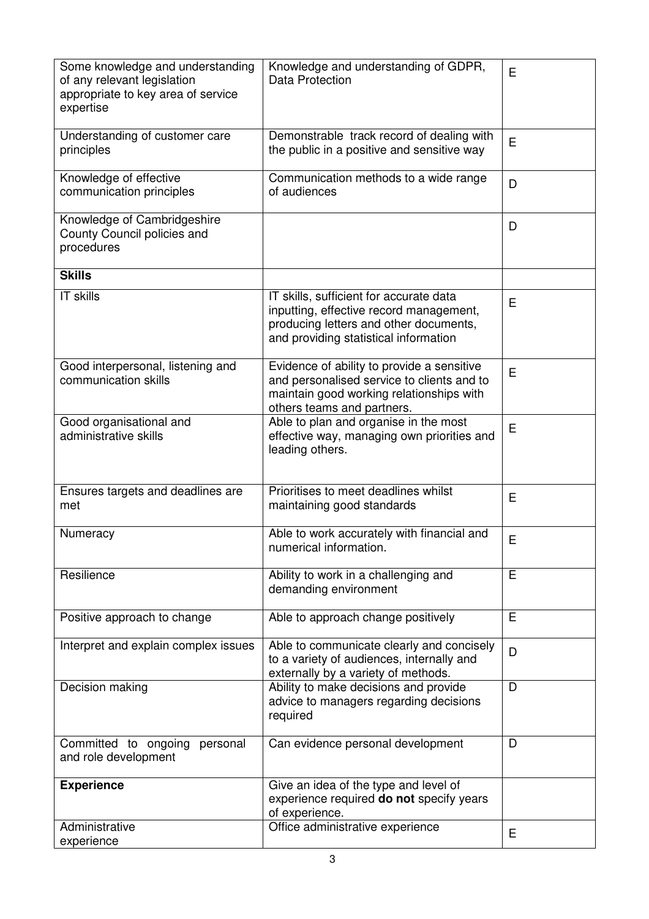| Some knowledge and understanding<br>of any relevant legislation<br>appropriate to key area of service<br>expertise | Knowledge and understanding of GDPR,<br>Data Protection                                                                                                               | E |
|--------------------------------------------------------------------------------------------------------------------|-----------------------------------------------------------------------------------------------------------------------------------------------------------------------|---|
| Understanding of customer care<br>principles                                                                       | Demonstrable track record of dealing with<br>the public in a positive and sensitive way                                                                               | E |
| Knowledge of effective<br>communication principles                                                                 | Communication methods to a wide range<br>of audiences                                                                                                                 | D |
| Knowledge of Cambridgeshire<br>County Council policies and<br>procedures                                           |                                                                                                                                                                       | D |
| <b>Skills</b>                                                                                                      |                                                                                                                                                                       |   |
| IT skills                                                                                                          | IT skills, sufficient for accurate data<br>inputting, effective record management,<br>producing letters and other documents,<br>and providing statistical information | E |
| Good interpersonal, listening and<br>communication skills                                                          | Evidence of ability to provide a sensitive<br>and personalised service to clients and to<br>maintain good working relationships with<br>others teams and partners.    | Е |
| Good organisational and<br>administrative skills                                                                   | Able to plan and organise in the most<br>effective way, managing own priorities and<br>leading others.                                                                | E |
| Ensures targets and deadlines are<br>met                                                                           | Prioritises to meet deadlines whilst<br>maintaining good standards                                                                                                    | E |
| Numeracy                                                                                                           | Able to work accurately with financial and<br>numerical information.                                                                                                  | E |
| Resilience                                                                                                         | Ability to work in a challenging and<br>demanding environment                                                                                                         | E |
| Positive approach to change                                                                                        | Able to approach change positively                                                                                                                                    | E |
| Interpret and explain complex issues                                                                               | Able to communicate clearly and concisely<br>to a variety of audiences, internally and<br>externally by a variety of methods.                                         | D |
| Decision making                                                                                                    | Ability to make decisions and provide<br>advice to managers regarding decisions<br>required                                                                           | D |
| Committed to ongoing<br>personal<br>and role development                                                           | Can evidence personal development                                                                                                                                     | D |
| <b>Experience</b>                                                                                                  | Give an idea of the type and level of<br>experience required do not specify years<br>of experience.                                                                   |   |
| Administrative<br>experience                                                                                       | Office administrative experience                                                                                                                                      | E |